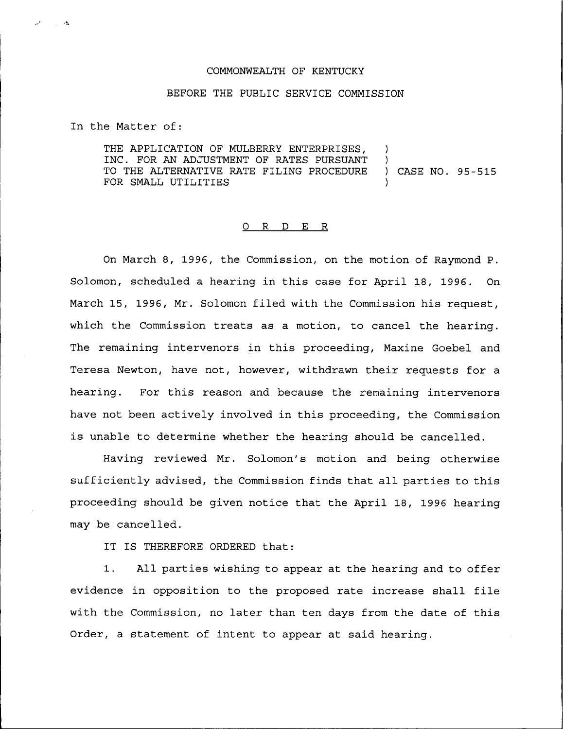## COMMONWEALTH OF KENTUCKY

## BEFORE THE PUBLIC SERVICE COMMISSION

In the Matter of:

- 5

THE APPLICATION OF MULBERRY ENTERPRISES, INC. FOR AN ADJUSTMENT OF RATES PURSUANT TO THE ALTERNATIVE RATE FILING PROCEDURE ) CASE NO. 95-515 FOR SMALL UTILITIES

## 0 R <sup>D</sup> E R

On March 8, 1996, the Commission, on the motion of Raymond P. Solomon, scheduled a hearing in this case for April 18, 1996. On March 15, 1996, Mr. Solomon filed with the Commission his request, which the Commission treats as a motion, to cancel the hearing. The remaining intervenors in this proceeding, Maxine Goebel and Teresa Newton, have not, however, withdrawn their requests for a hearing. For this reason and because the remaining intervenors have not been actively involved in this proceeding, the Commission is unable to determine whether the hearing should be cancelled.

Having reviewed Mr. Solomon's motion and being otherwise sufficiently advised, the Commission finds that all parties to this proceeding should be given notice that the April 18, 1996 hearing may be cancelled.

IT IS THEREFORE ORDERED that:

1. All parties wishing to appear at the hearing and to offer evidence in opposition to the proposed rate increase shall file with the Commission, no later than ten days from the date of this Order, a statement of intent to appear at said hearing.